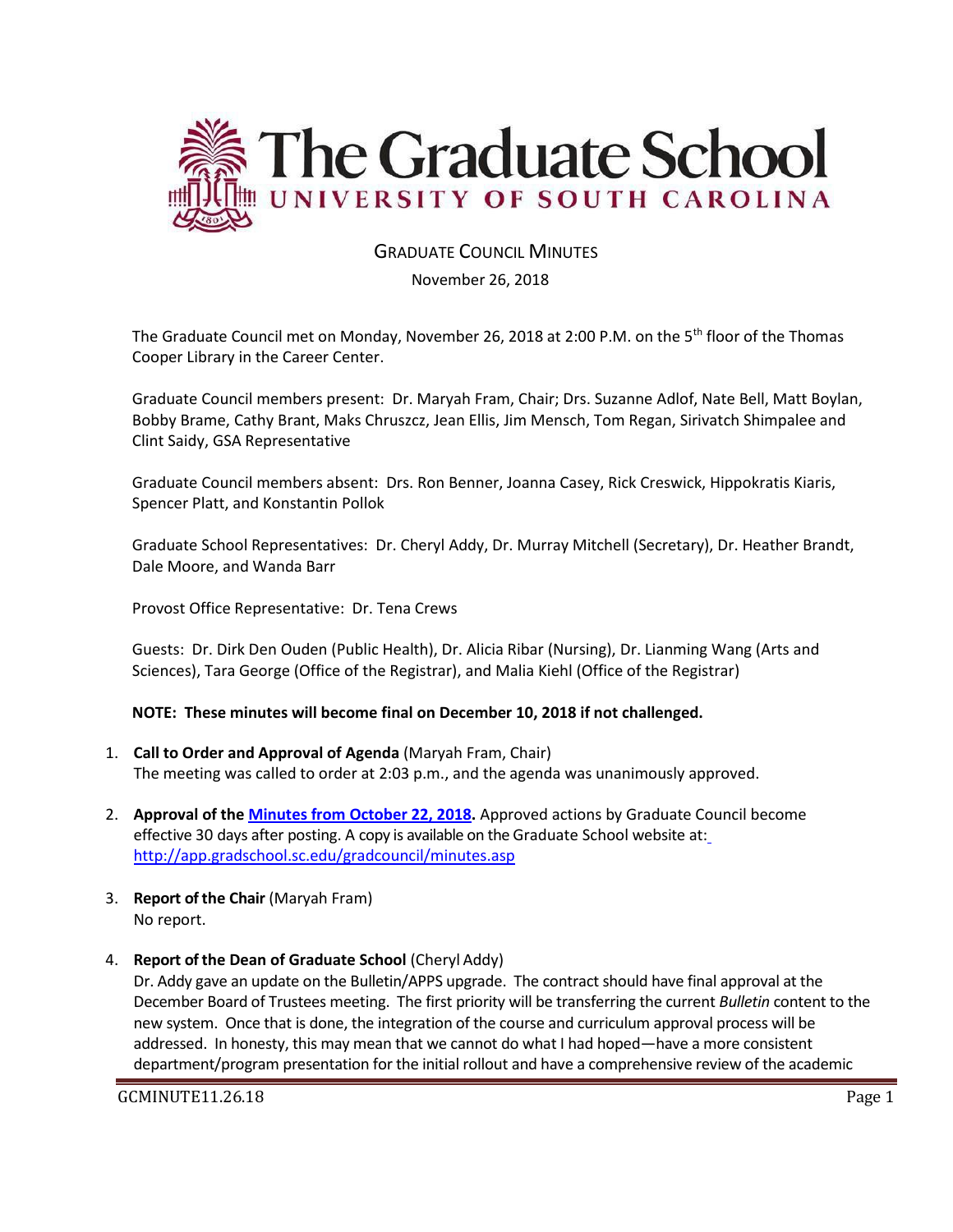

# **GRADUATE COUNCIL MINUTFS**

November 26, 2018

The Graduate Council met on Monday, November 26, 2018 at 2:00 P.M. on the 5th floor of the Thomas Cooper Library in the Career Center.

Graduate Council members present: Dr. Maryah Fram, Chair; Drs. Suzanne Adlof, Nate Bell, Matt Boylan, Bobby Brame, Cathy Brant, Maks Chruszcz, Jean Ellis, Jim Mensch, Tom Regan, Sirivatch Shimpalee and Clint Saidy, GSA Representative

Graduate Council members absent: Drs. Ron Benner, Joanna Casey, Rick Creswick, Hippokratis Kiaris, Spencer Platt, and Konstantin Pollok

Graduate School Representatives: Dr. Cheryl Addy, Dr. Murray Mitchell (Secretary), Dr. Heather Brandt, Dale Moore, and Wanda Barr

Provost Office Representative: Dr. Tena Crews

Guests: Dr. Dirk Den Ouden (Public Health), Dr. Alicia Ribar (Nursing), Dr. Lianming Wang (Arts and Sciences), Tara George (Office of the Registrar), and Malia Kiehl (Office of the Registrar)

#### **NOTE: These minutes will become final on December 10, 2018 if not challenged.**

- 1. **Call to Order and Approval of Agenda** (Maryah Fram, Chair) The meeting was called to order at 2:03 p.m., and the agenda was unanimously approved.
- 2. **Approval of the [Minutes from October 22, 2018.](file:///C:/Users/wandab/Local%20Documents/Graduate%20Council/GCMINOCT222018%20mm.pdf)** Approved actions by Graduate Council become effective 30 days after posting. A copy is available on the Graduate School website at[:](http://app.gradschool.sc.edu/gradcouncil/minutes.asp) <http://app.gradschool.sc.edu/gradcouncil/minutes.asp>
- 3. **Report of the Chair** (Maryah Fram) No report.
- 4. **Report of the Dean of Graduate School** (Cheryl Addy)

Dr. Addy gave an update on the Bulletin/APPS upgrade. The contract should have final approval at the December Board of Trustees meeting. The first priority will be transferring the current *Bulletin* content to the new system. Once that is done, the integration of the course and curriculum approval process will be addressed. In honesty, this may mean that we cannot do what I had hoped—have a more consistent department/program presentation for the initial rollout and have a comprehensive review of the academic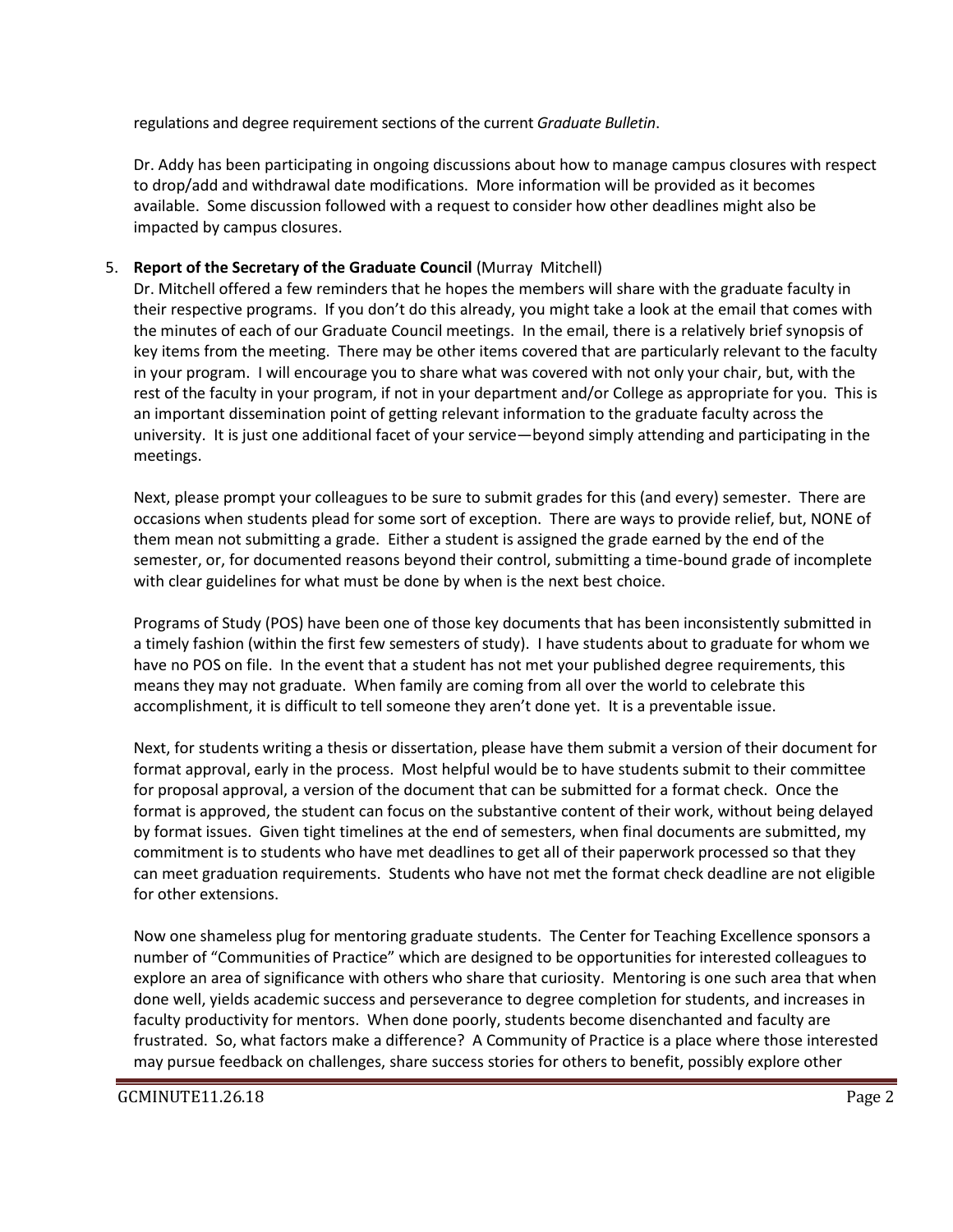regulations and degree requirement sections of the current *Graduate Bulletin*.

Dr. Addy has been participating in ongoing discussions about how to manage campus closures with respect to drop/add and withdrawal date modifications. More information will be provided as it becomes available. Some discussion followed with a request to consider how other deadlines might also be impacted by campus closures.

# 5. **Report of the Secretary of the Graduate Council** (Murray Mitchell)

Dr. Mitchell offered a few reminders that he hopes the members will share with the graduate faculty in their respective programs. If you don't do this already, you might take a look at the email that comes with the minutes of each of our Graduate Council meetings. In the email, there is a relatively brief synopsis of key items from the meeting. There may be other items covered that are particularly relevant to the faculty in your program. I will encourage you to share what was covered with not only your chair, but, with the rest of the faculty in your program, if not in your department and/or College as appropriate for you. This is an important dissemination point of getting relevant information to the graduate faculty across the university. It is just one additional facet of your service—beyond simply attending and participating in the meetings.

Next, please prompt your colleagues to be sure to submit grades for this (and every) semester. There are occasions when students plead for some sort of exception. There are ways to provide relief, but, NONE of them mean not submitting a grade. Either a student is assigned the grade earned by the end of the semester, or, for documented reasons beyond their control, submitting a time-bound grade of incomplete with clear guidelines for what must be done by when is the next best choice.

Programs of Study (POS) have been one of those key documents that has been inconsistently submitted in a timely fashion (within the first few semesters of study). I have students about to graduate for whom we have no POS on file. In the event that a student has not met your published degree requirements, this means they may not graduate. When family are coming from all over the world to celebrate this accomplishment, it is difficult to tell someone they aren't done yet. It is a preventable issue.

Next, for students writing a thesis or dissertation, please have them submit a version of their document for format approval, early in the process. Most helpful would be to have students submit to their committee for proposal approval, a version of the document that can be submitted for a format check. Once the format is approved, the student can focus on the substantive content of their work, without being delayed by format issues. Given tight timelines at the end of semesters, when final documents are submitted, my commitment is to students who have met deadlines to get all of their paperwork processed so that they can meet graduation requirements. Students who have not met the format check deadline are not eligible for other extensions.

Now one shameless plug for mentoring graduate students. The Center for Teaching Excellence sponsors a number of "Communities of Practice" which are designed to be opportunities for interested colleagues to explore an area of significance with others who share that curiosity. Mentoring is one such area that when done well, yields academic success and perseverance to degree completion for students, and increases in faculty productivity for mentors. When done poorly, students become disenchanted and faculty are frustrated. So, what factors make a difference? A Community of Practice is a place where those interested may pursue feedback on challenges, share success stories for others to benefit, possibly explore other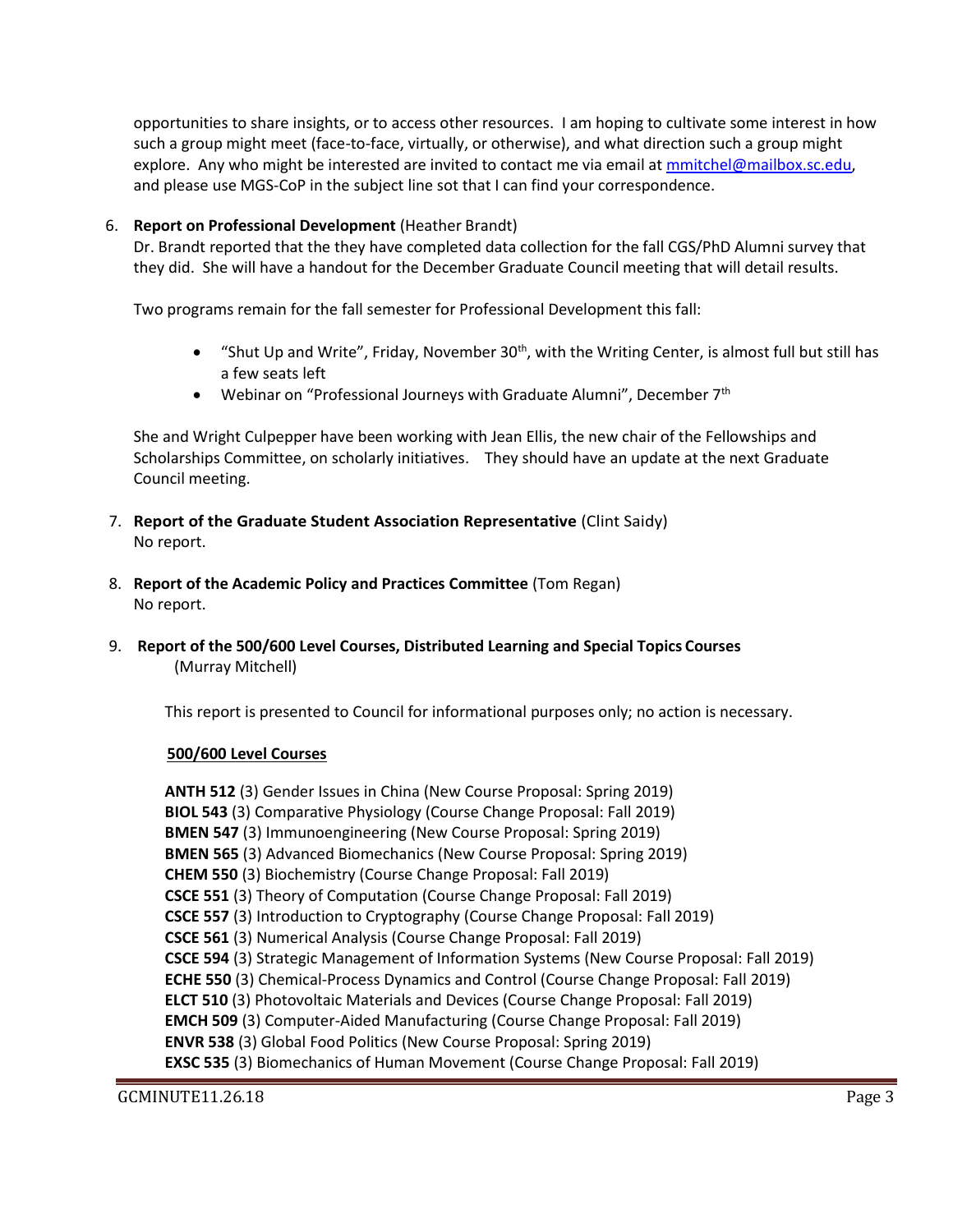opportunities to share insights, or to access other resources. I am hoping to cultivate some interest in how such a group might meet (face-to-face, virtually, or otherwise), and what direction such a group might explore. Any who might be interested are invited to contact me via email at [mmitchel@mailbox.sc.edu,](mailto:mmitchel@mailbox.sc.edu) and please use MGS-CoP in the subject line sot that I can find your correspondence.

### 6. **Report on Professional Development** (Heather Brandt)

Dr. Brandt reported that the they have completed data collection for the fall CGS/PhD Alumni survey that they did. She will have a handout for the December Graduate Council meeting that will detail results.

Two programs remain for the fall semester for Professional Development this fall:

- "Shut Up and Write", Friday, November 30<sup>th</sup>, with the Writing Center, is almost full but still has a few seats left
- Webinar on "Professional Journeys with Graduate Alumni", December 7<sup>th</sup>

She and Wright Culpepper have been working with Jean Ellis, the new chair of the Fellowships and Scholarships Committee, on scholarly initiatives. They should have an update at the next Graduate Council meeting.

- 7. **Report of the Graduate Student Association Representative** (Clint Saidy) No report.
- 8. **Report of the Academic Policy and Practices Committee** (Tom Regan) No report.
- 9. **Report of the 500/600 Level Courses, Distributed Learning and Special Topics Courses** (Murray Mitchell)

This report is presented to Council for informational purposes only; no action is necessary.

#### **500/600 Level Courses**

**ANTH 512** (3) Gender Issues in China (New Course Proposal: Spring 2019) **BIOL 543** (3) Comparative Physiology (Course Change Proposal: Fall 2019) **BMEN 547** (3) Immunoengineering (New Course Proposal: Spring 2019) **BMEN 565** (3) Advanced Biomechanics (New Course Proposal: Spring 2019) **CHEM 550** (3) Biochemistry (Course Change Proposal: Fall 2019) **CSCE 551** (3) Theory of Computation (Course Change Proposal: Fall 2019) **CSCE 557** (3) Introduction to Cryptography (Course Change Proposal: Fall 2019) **CSCE 561** (3) Numerical Analysis (Course Change Proposal: Fall 2019) **CSCE 594** (3) Strategic Management of Information Systems (New Course Proposal: Fall 2019) **ECHE 550** (3) Chemical-Process Dynamics and Control (Course Change Proposal: Fall 2019) **ELCT 510** (3) Photovoltaic Materials and Devices (Course Change Proposal: Fall 2019) **EMCH 509** (3) Computer-Aided Manufacturing (Course Change Proposal: Fall 2019) **ENVR 538** (3) Global Food Politics (New Course Proposal: Spring 2019) **EXSC 535** (3) Biomechanics of Human Movement (Course Change Proposal: Fall 2019)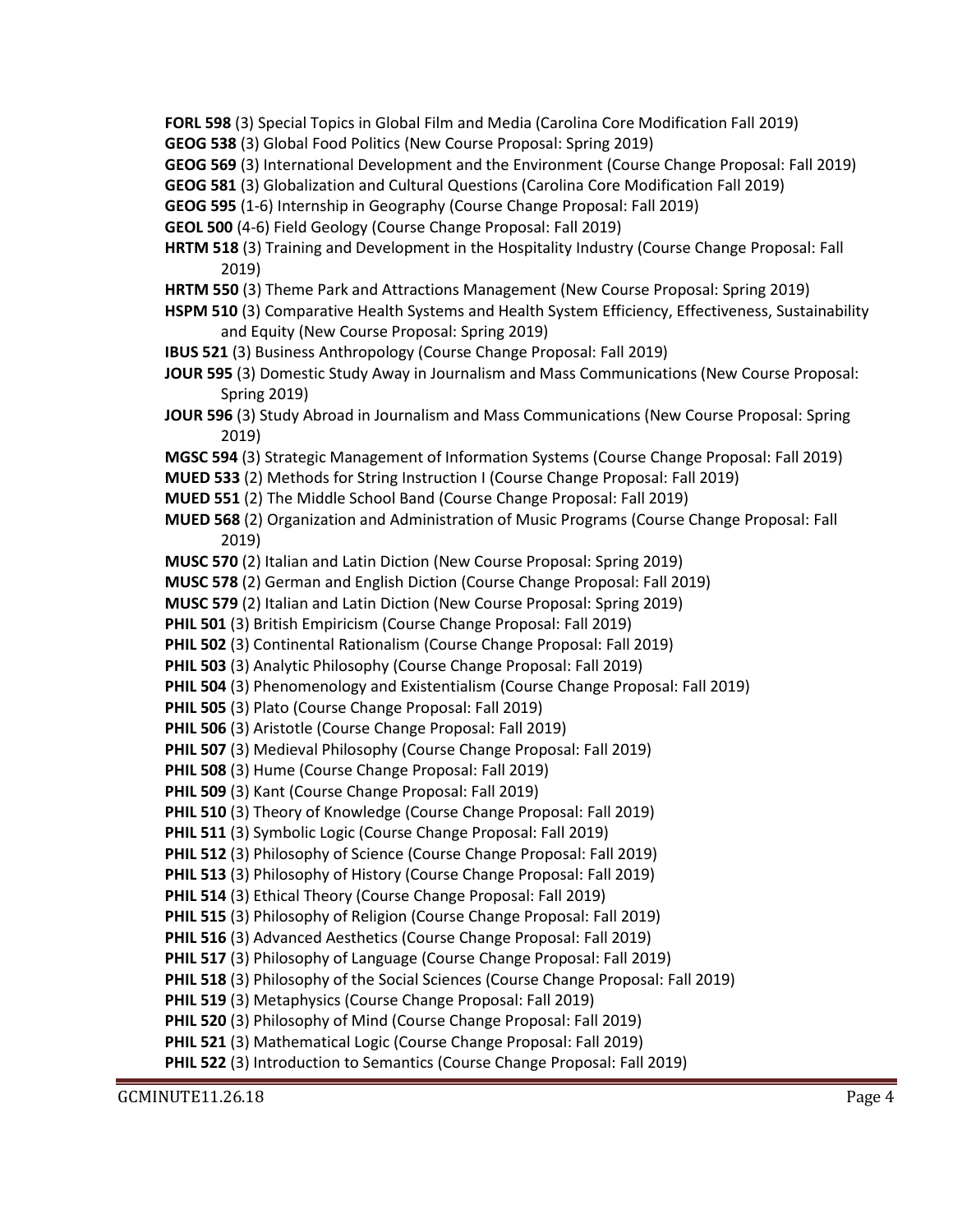GCMINUTE11.26.18 Page 4 **FORL 598** (3) Special Topics in Global Film and Media (Carolina Core Modification Fall 2019) **GEOG 538** (3) Global Food Politics (New Course Proposal: Spring 2019) **GEOG 569** (3) International Development and the Environment (Course Change Proposal: Fall 2019) **GEOG 581** (3) Globalization and Cultural Questions (Carolina Core Modification Fall 2019) **GEOG 595** (1-6) Internship in Geography (Course Change Proposal: Fall 2019) **GEOL 500** (4-6) Field Geology (Course Change Proposal: Fall 2019) **HRTM 518** (3) Training and Development in the Hospitality Industry (Course Change Proposal: Fall 2019) **HRTM 550** (3) Theme Park and Attractions Management (New Course Proposal: Spring 2019) **HSPM 510** (3) Comparative Health Systems and Health System Efficiency, Effectiveness, Sustainability and Equity (New Course Proposal: Spring 2019) **IBUS 521** (3) Business Anthropology (Course Change Proposal: Fall 2019) **JOUR 595** (3) Domestic Study Away in Journalism and Mass Communications (New Course Proposal: Spring 2019) **JOUR 596** (3) Study Abroad in Journalism and Mass Communications (New Course Proposal: Spring 2019) **MGSC 594** (3) Strategic Management of Information Systems (Course Change Proposal: Fall 2019) **MUED 533** (2) Methods for String Instruction I (Course Change Proposal: Fall 2019) **MUED 551** (2) The Middle School Band (Course Change Proposal: Fall 2019) **MUED 568** (2) Organization and Administration of Music Programs (Course Change Proposal: Fall 2019) **MUSC 570** (2) Italian and Latin Diction (New Course Proposal: Spring 2019) **MUSC 578** (2) German and English Diction (Course Change Proposal: Fall 2019) **MUSC 579** (2) Italian and Latin Diction (New Course Proposal: Spring 2019) **PHIL 501** (3) British Empiricism (Course Change Proposal: Fall 2019) **PHIL 502** (3) Continental Rationalism (Course Change Proposal: Fall 2019) **PHIL 503** (3) Analytic Philosophy (Course Change Proposal: Fall 2019) **PHIL 504** (3) Phenomenology and Existentialism (Course Change Proposal: Fall 2019) **PHIL 505** (3) Plato (Course Change Proposal: Fall 2019) **PHIL 506** (3) Aristotle (Course Change Proposal: Fall 2019) **PHIL 507** (3) Medieval Philosophy (Course Change Proposal: Fall 2019) **PHIL 508** (3) Hume (Course Change Proposal: Fall 2019) **PHIL 509** (3) Kant (Course Change Proposal: Fall 2019) **PHIL 510** (3) Theory of Knowledge (Course Change Proposal: Fall 2019) **PHIL 511** (3) Symbolic Logic (Course Change Proposal: Fall 2019) **PHIL 512** (3) Philosophy of Science (Course Change Proposal: Fall 2019) **PHIL 513** (3) Philosophy of History (Course Change Proposal: Fall 2019) **PHIL 514** (3) Ethical Theory (Course Change Proposal: Fall 2019) **PHIL 515** (3) Philosophy of Religion (Course Change Proposal: Fall 2019) **PHIL 516** (3) Advanced Aesthetics (Course Change Proposal: Fall 2019) **PHIL 517** (3) Philosophy of Language (Course Change Proposal: Fall 2019) **PHIL 518** (3) Philosophy of the Social Sciences (Course Change Proposal: Fall 2019) **PHIL 519** (3) Metaphysics (Course Change Proposal: Fall 2019) **PHIL 520** (3) Philosophy of Mind (Course Change Proposal: Fall 2019) **PHIL 521** (3) Mathematical Logic (Course Change Proposal: Fall 2019) **PHIL 522** (3) Introduction to Semantics (Course Change Proposal: Fall 2019)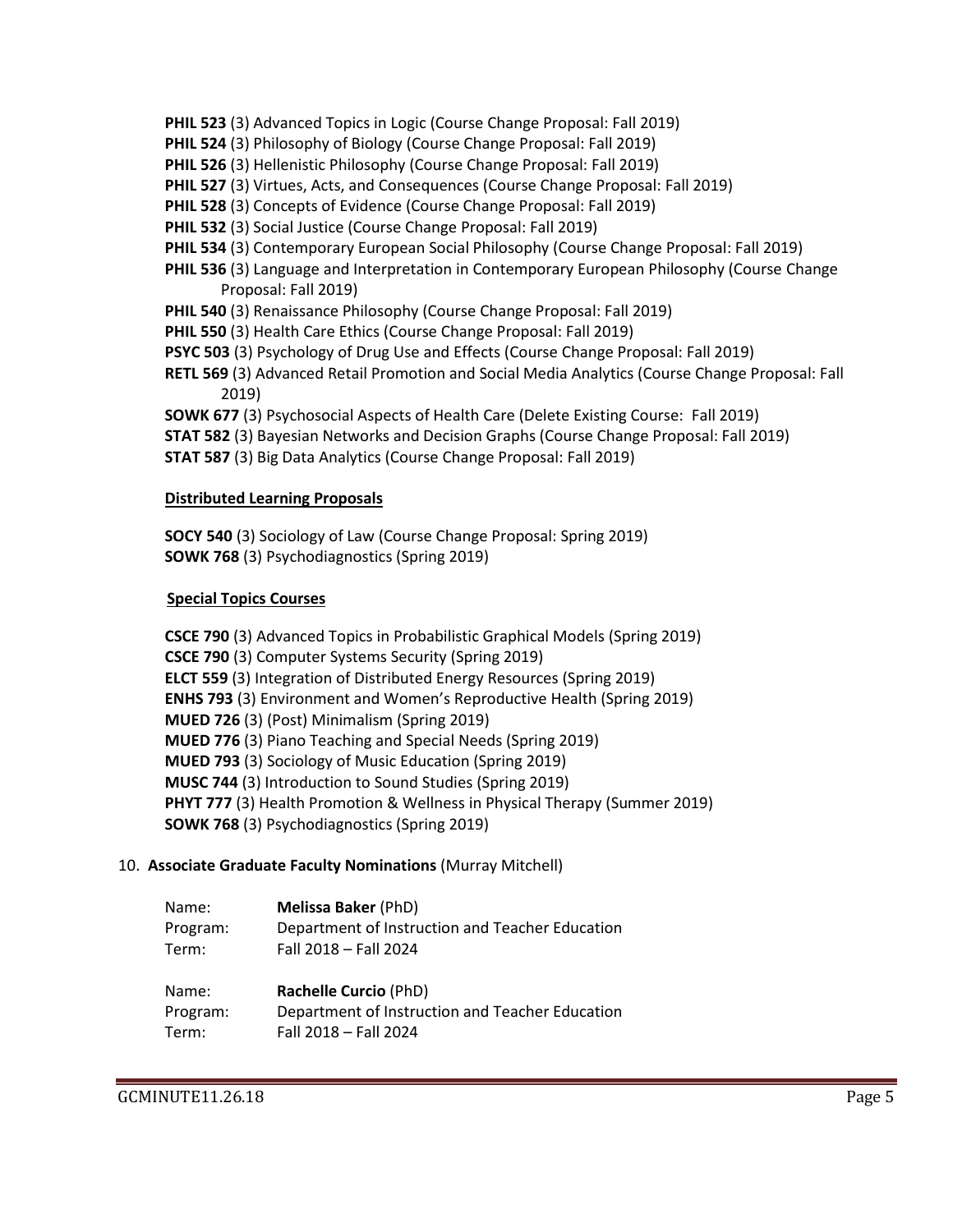- **PHIL 523** (3) Advanced Topics in Logic (Course Change Proposal: Fall 2019)
- **PHIL 524** (3) Philosophy of Biology (Course Change Proposal: Fall 2019)
- **PHIL 526** (3) Hellenistic Philosophy (Course Change Proposal: Fall 2019)
- **PHIL 527** (3) Virtues, Acts, and Consequences (Course Change Proposal: Fall 2019)
- **PHIL 528** (3) Concepts of Evidence (Course Change Proposal: Fall 2019)
- **PHIL 532** (3) Social Justice (Course Change Proposal: Fall 2019)
- **PHIL 534** (3) Contemporary European Social Philosophy (Course Change Proposal: Fall 2019)
- **PHIL 536** (3) Language and Interpretation in Contemporary European Philosophy (Course Change Proposal: Fall 2019)
- **PHIL 540** (3) Renaissance Philosophy (Course Change Proposal: Fall 2019)
- **PHIL 550** (3) Health Care Ethics (Course Change Proposal: Fall 2019)
- **PSYC 503** (3) Psychology of Drug Use and Effects (Course Change Proposal: Fall 2019)
- **RETL 569** (3) Advanced Retail Promotion and Social Media Analytics (Course Change Proposal: Fall 2019)

**SOWK 677** (3) Psychosocial Aspects of Health Care (Delete Existing Course: Fall 2019)

- **STAT 582** (3) Bayesian Networks and Decision Graphs (Course Change Proposal: Fall 2019)
- **STAT 587** (3) Big Data Analytics (Course Change Proposal: Fall 2019)

### **Distributed Learning Proposals**

**SOCY 540** (3) Sociology of Law (Course Change Proposal: Spring 2019) **SOWK 768** (3) Psychodiagnostics (Spring 2019)

# **Special Topics Courses**

**CSCE 790** (3) Advanced Topics in Probabilistic Graphical Models (Spring 2019) **CSCE 790** (3) Computer Systems Security (Spring 2019) **ELCT 559** (3) Integration of Distributed Energy Resources (Spring 2019) **ENHS 793** (3) Environment and Women's Reproductive Health (Spring 2019) **MUED 726** (3) (Post) Minimalism (Spring 2019) **MUED 776** (3) Piano Teaching and Special Needs (Spring 2019) **MUED 793** (3) Sociology of Music Education (Spring 2019) **MUSC 744** (3) Introduction to Sound Studies (Spring 2019) **PHYT 777** (3) Health Promotion & Wellness in Physical Therapy (Summer 2019) **SOWK 768** (3) Psychodiagnostics (Spring 2019)

### 10. **Associate Graduate Faculty Nominations** (Murray Mitchell)

| Name:    | <b>Melissa Baker (PhD)</b>                      |
|----------|-------------------------------------------------|
| Program: | Department of Instruction and Teacher Education |
| Term:    | Fall 2018 - Fall 2024                           |
| Name:    | Rachelle Curcio (PhD)                           |
| Program: | Department of Instruction and Teacher Education |
| Term:    | Fall 2018 - Fall 2024                           |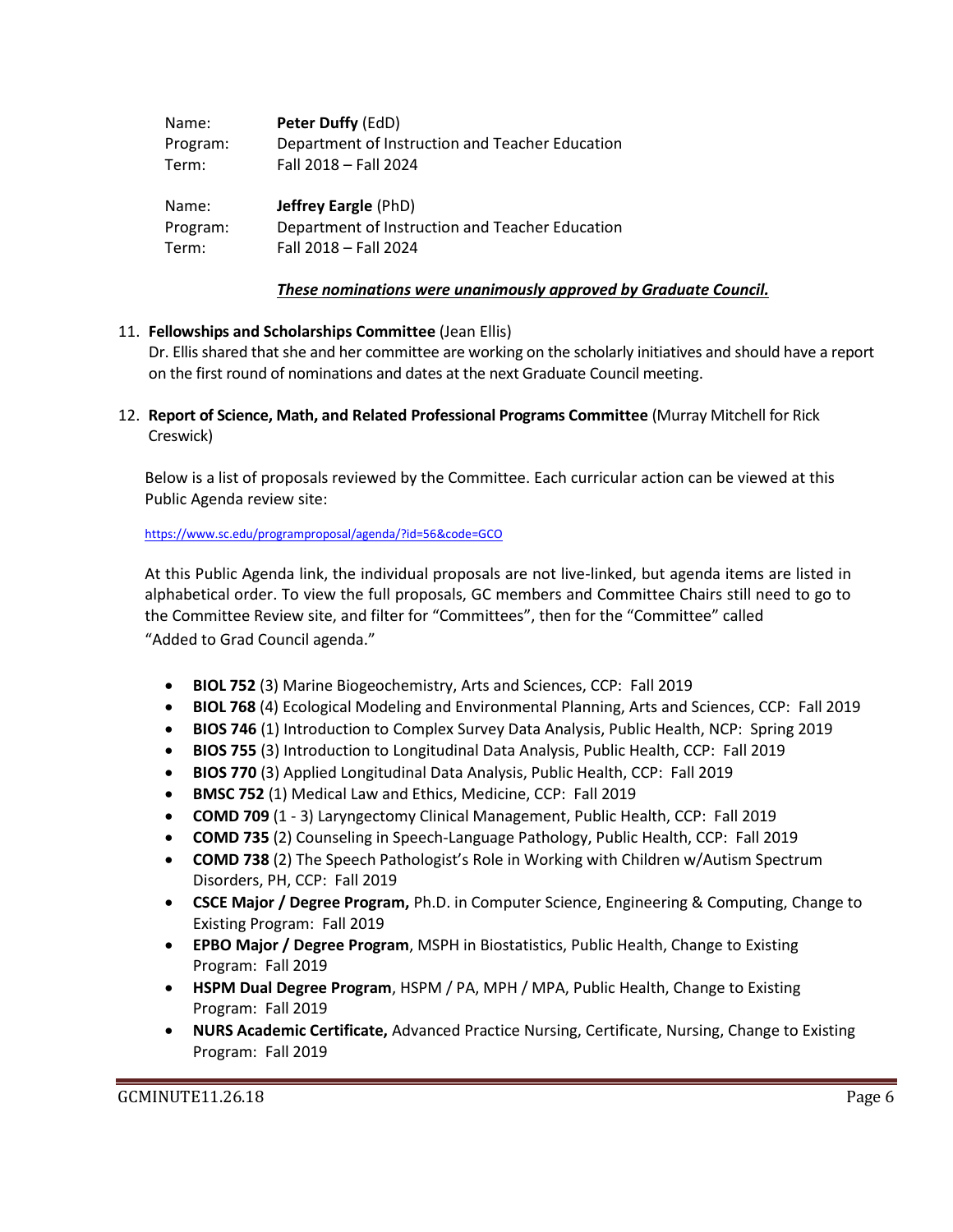| Name:    | Peter Duffy (EdD)                               |
|----------|-------------------------------------------------|
| Program: | Department of Instruction and Teacher Education |
| Term:    | Fall 2018 - Fall 2024                           |
|          |                                                 |
| Name:    | <b>Jeffrey Eargle (PhD)</b>                     |
| Program: | Department of Instruction and Teacher Education |

### *These nominations were unanimously approved by Graduate Council.*

### 11. **Fellowships and Scholarships Committee** (Jean Ellis)

Dr. Ellis shared that she and her committee are working on the scholarly initiatives and should have a report on the first round of nominations and dates at the next Graduate Council meeting.

12. **Report of Science, Math, and Related Professional Programs Committee** (Murray Mitchell for Rick Creswick)

Below is a list of proposals reviewed by the Committee. Each curricular action can be viewed at this Public Agenda review site:

#### <https://www.sc.edu/programproposal/agenda/?id=56&code=GCO>

At this Public Agenda link, the individual proposals are not live-linked, but agenda items are listed in alphabetical order. To view the full proposals, GC members and Committee Chairs still need to go to the Committee Review site, and filter for "Committees", then for the "Committee" called "Added to Grad Council agenda."

- **BIOL 752** (3) Marine Biogeochemistry, Arts and Sciences, CCP: Fall 2019
- **BIOL 768** (4) Ecological Modeling and Environmental Planning, Arts and Sciences, CCP: Fall 2019
- **BIOS 746** (1) Introduction to Complex Survey Data Analysis, Public Health, NCP: Spring 2019
- **BIOS 755** (3) Introduction to Longitudinal Data Analysis, Public Health, CCP: Fall 2019
- **BIOS 770** (3) Applied Longitudinal Data Analysis, Public Health, CCP: Fall 2019
- **BMSC 752** (1) Medical Law and Ethics, Medicine, CCP: Fall 2019
- **COMD 709** (1 3) Laryngectomy Clinical Management, Public Health, CCP: Fall 2019
- **COMD 735** (2) Counseling in Speech-Language Pathology, Public Health, CCP: Fall 2019
- **COMD 738** (2) The Speech Pathologist's Role in Working with Children w/Autism Spectrum Disorders, PH, CCP: Fall 2019
- **CSCE Major / Degree Program,** Ph.D. in Computer Science, Engineering & Computing, Change to Existing Program: Fall 2019
- **EPBO Major / Degree Program**, MSPH in Biostatistics, Public Health, Change to Existing Program: Fall 2019
- **HSPM Dual Degree Program**, HSPM / PA, MPH / MPA, Public Health, Change to Existing Program: Fall 2019
- **NURS Academic Certificate,** Advanced Practice Nursing, Certificate, Nursing, Change to Existing Program: Fall 2019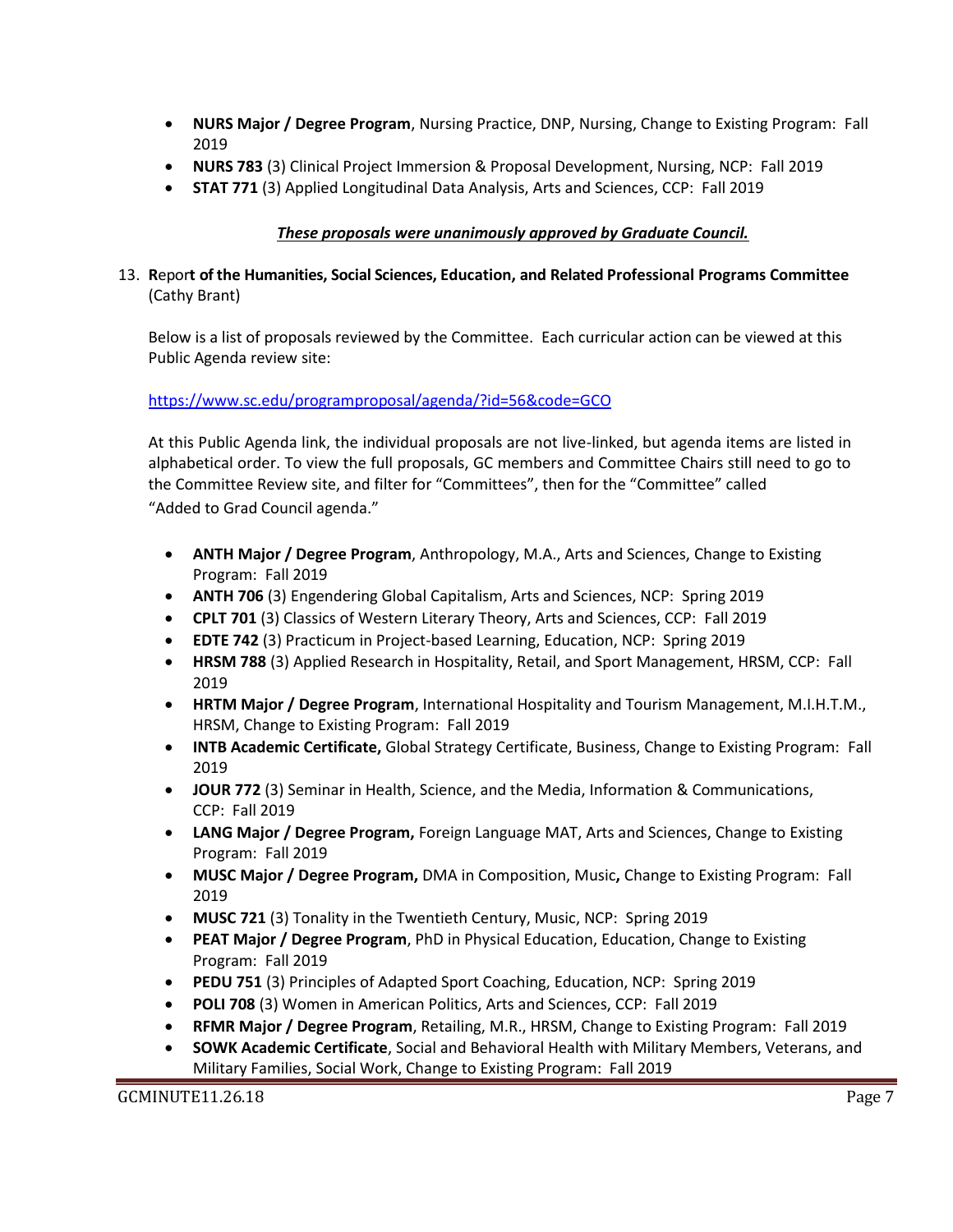- **NURS Major / Degree Program**, Nursing Practice, DNP, Nursing, Change to Existing Program: Fall 2019
- **NURS 783** (3) Clinical Project Immersion & Proposal Development, Nursing, NCP: Fall 2019
- **STAT 771** (3) Applied Longitudinal Data Analysis, Arts and Sciences, CCP: Fall 2019

# *These proposals were unanimously approved by Graduate Council.*

### 13. **R**epor**t of the Humanities, Social Sciences, Education, and Related Professional Programs Committee**  (Cathy Brant)

Below is a list of proposals reviewed by the Committee. Each curricular action can be viewed at this Public Agenda review site:

### <https://www.sc.edu/programproposal/agenda/?id=56&code=GCO>

At this Public Agenda link, the individual proposals are not live-linked, but agenda items are listed in alphabetical order. To view the full proposals, GC members and Committee Chairs still need to go to the Committee Review site, and filter for "Committees", then for the "Committee" called "Added to Grad Council agenda."

- **ANTH Major / Degree Program**, Anthropology, M.A., Arts and Sciences, Change to Existing Program: Fall 2019
- **ANTH 706** (3) Engendering Global Capitalism, Arts and Sciences, NCP: Spring 2019
- **CPLT 701** (3) Classics of Western Literary Theory, Arts and Sciences, CCP: Fall 2019
- **EDTE 742** (3) Practicum in Project-based Learning, Education, NCP: Spring 2019
- **HRSM 788** (3) Applied Research in Hospitality, Retail, and Sport Management, HRSM, CCP: Fall 2019
- **HRTM Major / Degree Program**, International Hospitality and Tourism Management, M.I.H.T.M., HRSM, Change to Existing Program: Fall 2019
- **INTB Academic Certificate,** Global Strategy Certificate, Business, Change to Existing Program: Fall 2019
- **JOUR 772** (3) Seminar in Health, Science, and the Media, Information & Communications, CCP: Fall 2019
- **LANG Major / Degree Program,** Foreign Language MAT, Arts and Sciences, Change to Existing Program: Fall 2019
- **MUSC Major / Degree Program,** DMA in Composition, Music**,** Change to Existing Program: Fall 2019
- **MUSC 721** (3) Tonality in the Twentieth Century, Music, NCP: Spring 2019
- **PEAT Major / Degree Program**, PhD in Physical Education, Education, Change to Existing Program: Fall 2019
- **PEDU 751** (3) Principles of Adapted Sport Coaching, Education, NCP: Spring 2019
- **POLI 708** (3) Women in American Politics, Arts and Sciences, CCP: Fall 2019
- **RFMR Major / Degree Program**, Retailing, M.R., HRSM, Change to Existing Program: Fall 2019
- **SOWK Academic Certificate**, Social and Behavioral Health with Military Members, Veterans, and Military Families, Social Work, Change to Existing Program: Fall 2019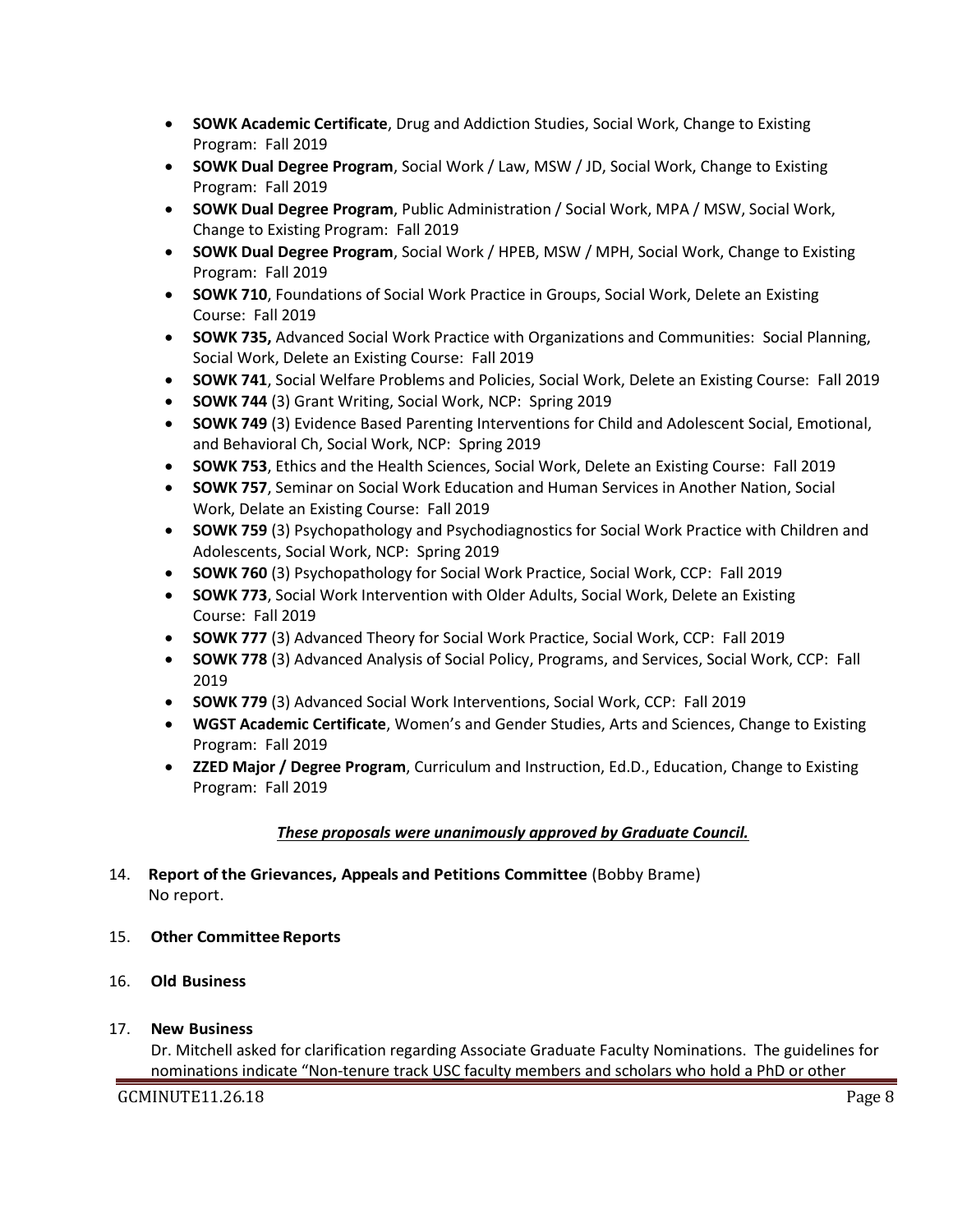- **SOWK Academic Certificate**, Drug and Addiction Studies, Social Work, Change to Existing Program: Fall 2019
- **SOWK Dual Degree Program**, Social Work / Law, MSW / JD, Social Work, Change to Existing Program: Fall 2019
- **SOWK Dual Degree Program**, Public Administration / Social Work, MPA / MSW, Social Work, Change to Existing Program: Fall 2019
- **SOWK Dual Degree Program**, Social Work / HPEB, MSW / MPH, Social Work, Change to Existing Program: Fall 2019
- **SOWK 710**, Foundations of Social Work Practice in Groups, Social Work, Delete an Existing Course: Fall 2019
- **SOWK 735,** Advanced Social Work Practice with Organizations and Communities: Social Planning, Social Work, Delete an Existing Course: Fall 2019
- **SOWK 741**, Social Welfare Problems and Policies, Social Work, Delete an Existing Course: Fall 2019
- **SOWK 744** (3) Grant Writing, Social Work, NCP: Spring 2019
- **SOWK 749** (3) Evidence Based Parenting Interventions for Child and Adolescent Social, Emotional, and Behavioral Ch, Social Work, NCP: Spring 2019
- **SOWK 753**, Ethics and the Health Sciences, Social Work, Delete an Existing Course: Fall 2019
- **SOWK 757**, Seminar on Social Work Education and Human Services in Another Nation, Social Work, Delate an Existing Course: Fall 2019
- **SOWK 759** (3) Psychopathology and Psychodiagnostics for Social Work Practice with Children and Adolescents, Social Work, NCP: Spring 2019
- **SOWK 760** (3) Psychopathology for Social Work Practice, Social Work, CCP: Fall 2019
- **SOWK 773**, Social Work Intervention with Older Adults, Social Work, Delete an Existing Course: Fall 2019
- **SOWK 777** (3) Advanced Theory for Social Work Practice, Social Work, CCP: Fall 2019
- **SOWK 778** (3) Advanced Analysis of Social Policy, Programs, and Services, Social Work, CCP: Fall 2019
- **SOWK 779** (3) Advanced Social Work Interventions, Social Work, CCP: Fall 2019
- **WGST Academic Certificate**, Women's and Gender Studies, Arts and Sciences, Change to Existing Program: Fall 2019
- **ZZED Major / Degree Program**, Curriculum and Instruction, Ed.D., Education, Change to Existing Program: Fall 2019

# *These proposals were unanimously approved by Graduate Council.*

# 14. **Report of the Grievances, Appeals and Petitions Committee** (Bobby Brame) No report.

- 15. **Other Committee Reports**
- 16. **Old Business**
- 17. **New Business**

Dr. Mitchell asked for clarification regarding Associate Graduate Faculty Nominations. The guidelines for nominations indicate "Non-tenure track USC faculty members and scholars who hold a PhD or other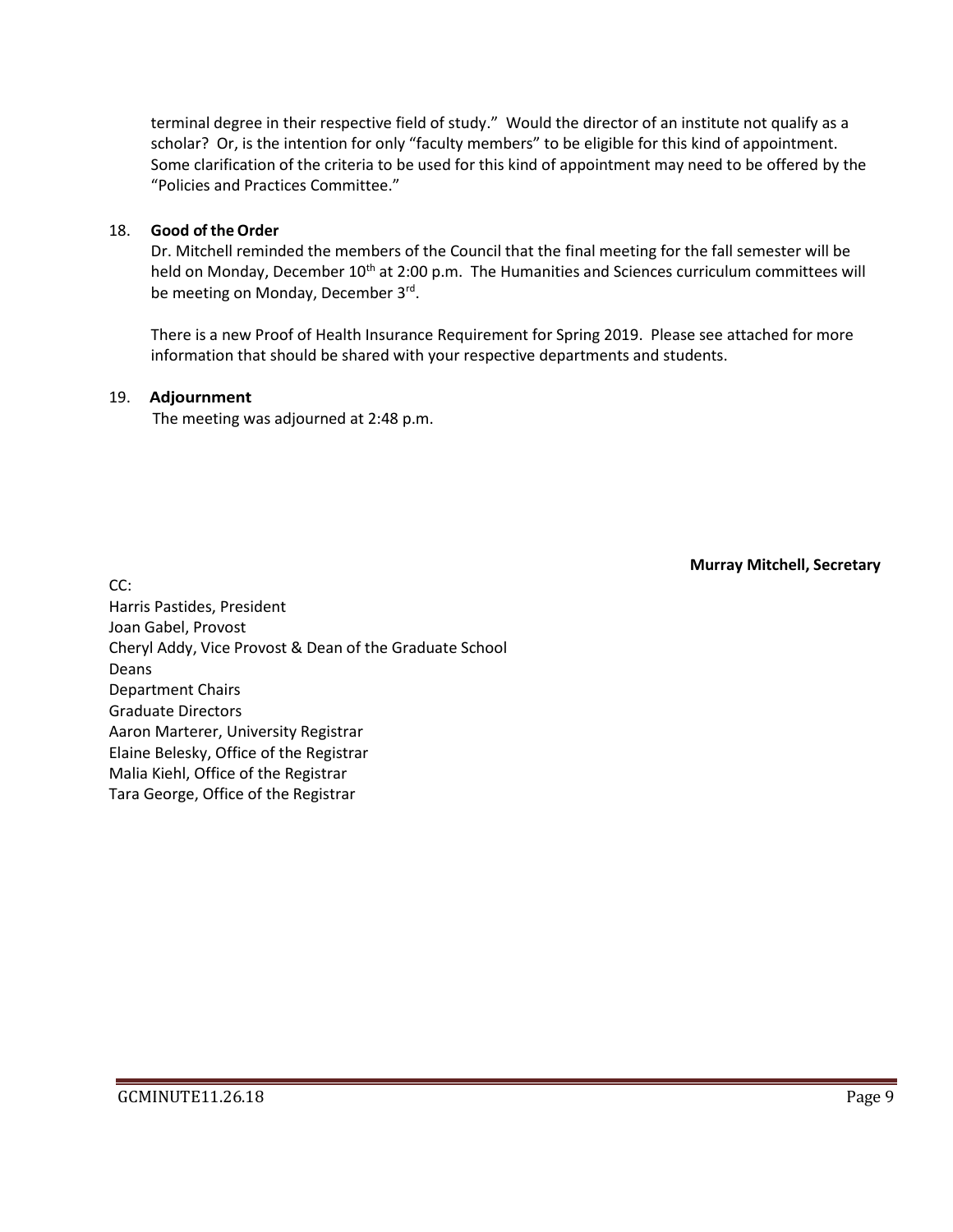terminal degree in their respective field of study." Would the director of an institute not qualify as a scholar? Or, is the intention for only "faculty members" to be eligible for this kind of appointment. Some clarification of the criteria to be used for this kind of appointment may need to be offered by the "Policies and Practices Committee."

#### 18. **Good of the Order**

Dr. Mitchell reminded the members of the Council that the final meeting for the fall semester will be held on Monday, December 10<sup>th</sup> at 2:00 p.m. The Humanities and Sciences curriculum committees will be meeting on Monday, December 3rd.

There is a new Proof of Health Insurance Requirement for Spring 2019. Please see attached for more information that should be shared with your respective departments and students.

#### 19. **Adjournment**

The meeting was adjourned at 2:48 p.m.

**Murray Mitchell, Secretary**

CC: Harris Pastides, President Joan Gabel, Provost Cheryl Addy, Vice Provost & Dean of the Graduate School Deans Department Chairs Graduate Directors Aaron Marterer, University Registrar Elaine Belesky, Office of the Registrar Malia Kiehl, Office of the Registrar Tara George, Office of the Registrar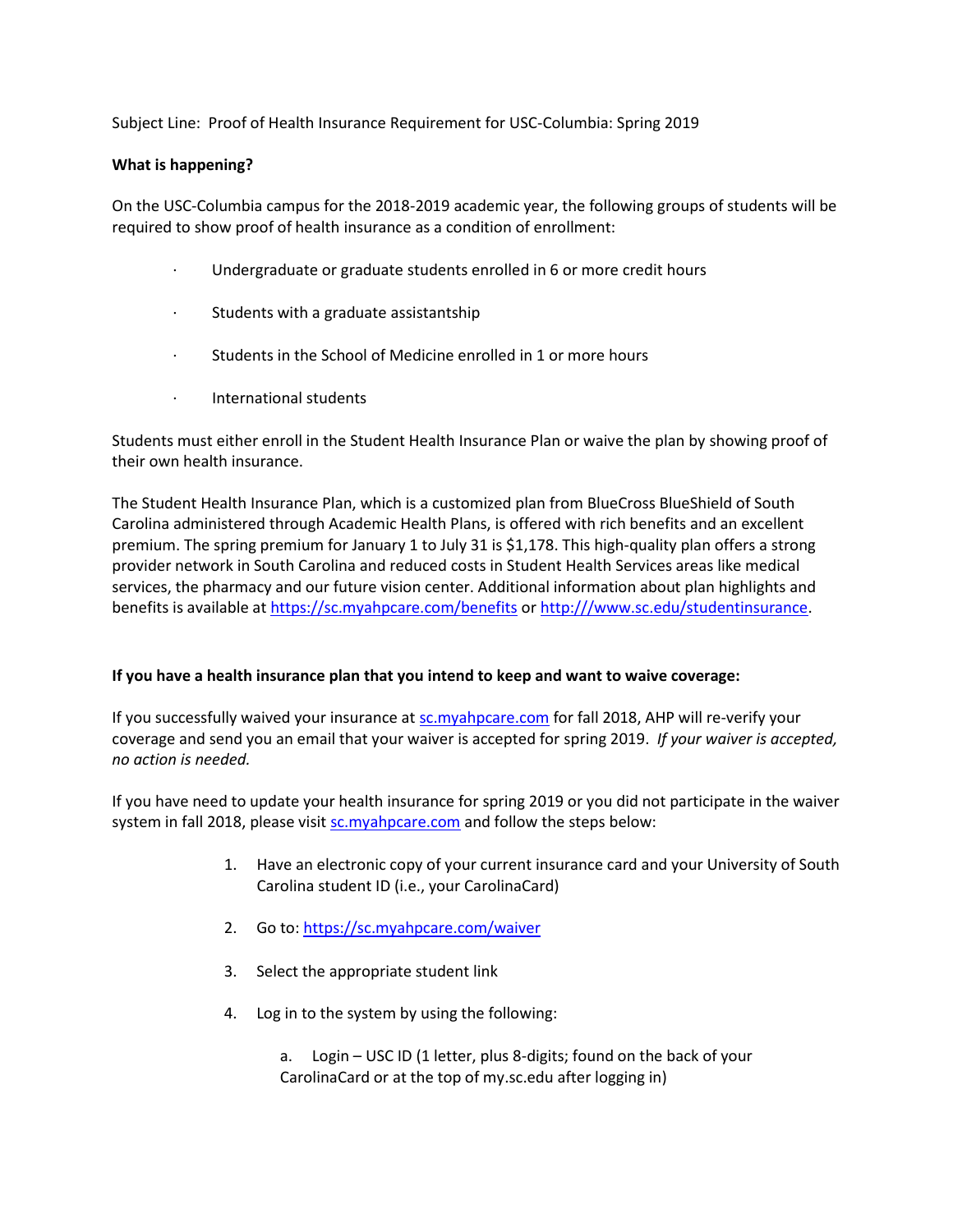Subject Line: Proof of Health Insurance Requirement for USC-Columbia: Spring 2019

#### **What is happening?**

On the USC-Columbia campus for the 2018-2019 academic year, the following groups of students will be required to show proof of health insurance as a condition of enrollment:

- · Undergraduate or graduate students enrolled in 6 or more credit hours
- Students with a graduate assistantship
- · Students in the School of Medicine enrolled in 1 or more hours
- · International students

Students must either enroll in the Student Health Insurance Plan or waive the plan by showing proof of their own health insurance.

The Student Health Insurance Plan, which is a customized plan from BlueCross BlueShield of South Carolina administered through Academic Health Plans, is offered with rich benefits and an excellent premium. The spring premium for January 1 to July 31 is \$1,178. This high-quality plan offers a strong provider network in South Carolina and reduced costs in Student Health Services areas like medical services, the pharmacy and our future vision center. Additional information about plan highlights and benefits is available at <https://sc.myahpcare.com/benefits> or [http:///www.sc.edu/studentinsurance.](http://www.sc.edu/studentinsurance)

#### **If you have a health insurance plan that you intend to keep and want to waive coverage:**

If you successfully waived your insurance at [sc.myahpcare.com](http://sc.myahpcare.com/) for fall 2018, AHP will re-verify your coverage and send you an email that your waiver is accepted for spring 2019. *If your waiver is accepted, no action is needed.*

If you have need to update your health insurance for spring 2019 or you did not participate in the waiver system in fall 2018, please visit [sc.myahpcare.com](http://sc.myahpcare.com/) and follow the steps below:

- 1. Have an electronic copy of your current insurance card and your University of South Carolina student ID (i.e., your CarolinaCard)
- 2. Go to: <https://sc.myahpcare.com/waiver>
- 3. Select the appropriate student link
- 4. Log in to the system by using the following:

a. Login – USC ID (1 letter, plus 8-digits; found on the back of your CarolinaCard or at the top of my.sc.edu after logging in)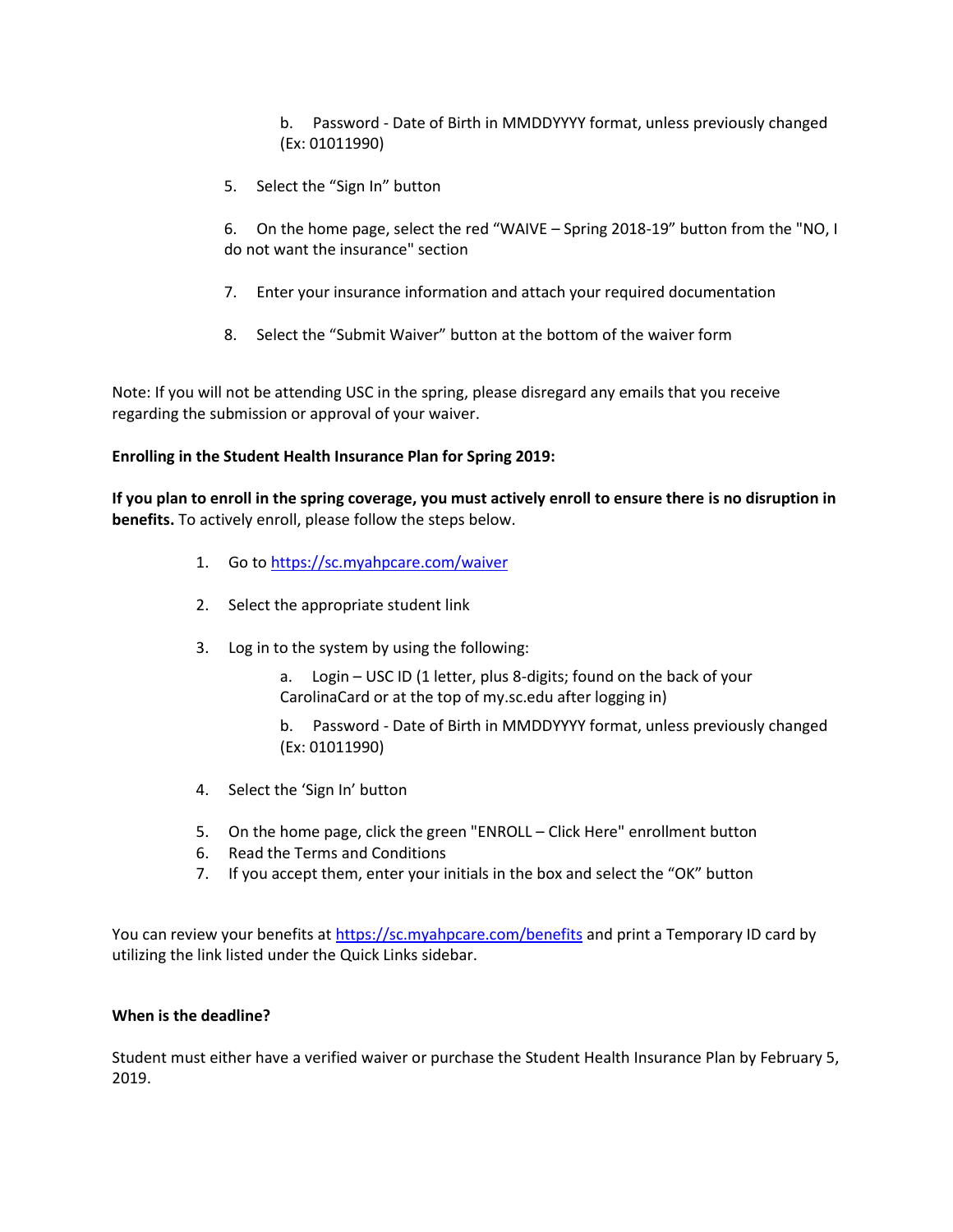b. Password - Date of Birth in MMDDYYYY format, unless previously changed (Ex: 01011990)

5. Select the "Sign In" button

6. On the home page, select the red "WAIVE – Spring 2018-19" button from the "NO, I do not want the insurance" section

- 7. Enter your insurance information and attach your required documentation
- 8. Select the "Submit Waiver" button at the bottom of the waiver form

Note: If you will not be attending USC in the spring, please disregard any emails that you receive regarding the submission or approval of your waiver.

### **Enrolling in the Student Health Insurance Plan for Spring 2019:**

**If you plan to enroll in the spring coverage, you must actively enroll to ensure there is no disruption in benefits.** To actively enroll, please follow the steps below.

- 1. Go to <https://sc.myahpcare.com/waiver>
- 2. Select the appropriate student link
- 3. Log in to the system by using the following:
	- a. Login USC ID (1 letter, plus 8-digits; found on the back of your CarolinaCard or at the top of my.sc.edu after logging in)
	- b. Password Date of Birth in MMDDYYYY format, unless previously changed (Ex: 01011990)
- 4. Select the 'Sign In' button
- 5. On the home page, click the green "ENROLL Click Here" enrollment button
- 6. Read the Terms and Conditions
- 7. If you accept them, enter your initials in the box and select the "OK" button

You can review your benefits at <https://sc.myahpcare.com/benefits> and print a Temporary ID card by utilizing the link listed under the Quick Links sidebar.

#### **When is the deadline?**

Student must either have a verified waiver or purchase the Student Health Insurance Plan by February 5, 2019.